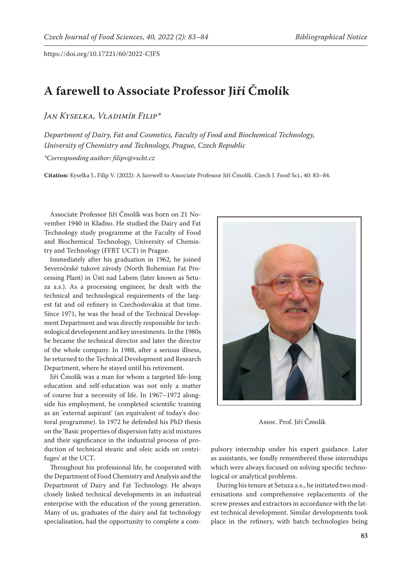https://doi.org/10.17221/60/2022-CJFS

## **A farewell to Associate Professor Jiří Čmolík**

*Jan Kyselka, Vladimír Filip\**

*Department of Dairy, Fat and Cosmetics, Faculty of Food and Biochemical Technology, University of Chemistry and Technology, Prague, Czech Republic \*Corresponding author: filipv@vscht.cz*

**Citation:** Kyselka J., Filip V. (2022): A farewell to Associate Professor Jiří Čmolík. Czech J. Food Sci., 40: 83–84.

Associate Professor Jiří Čmolík was born on 21 November 1940 in Kladno. He studied the Dairy and Fat Technology study programme at the Faculty of Food and Biochemical Technology, University of Chemistry and Technology (FFBT UCT) in Prague.

Immediately after his graduation in 1962, he joined Severočeské tukové závody (North Bohemian Fat Processing Plant) in Ústí nad Labem (later known as Setuza a.s.). As a processing engineer, he dealt with the technical and technological requirements of the largest fat and oil refinery in Czechoslovakia at that time. Since 1971, he was the head of the Technical Development Department and was directly responsible for technological development and key investments. In the 1980s he became the technical director and later the director of the whole company. In 1988, after a serious illness, he returned to the Technical Development and Research Department, where he stayed until his retirement.

Jiří Čmolík was a man for whom a targeted life-long education and self-education was not only a matter of course but a necessity of life. In 1967–1972 alongside his employment, he completed scientific training as an 'external aspirant' (an equivalent of today's doctoral programme). In 1972 he defended his PhD thesis on the 'Basic properties of dispersion fatty acid mixtures and their significance in the industrial process of production of technical stearic and oleic acids on centrifuges' at the UCT.

Throughout his professional life, he cooperated with the Department of Food Chemistry and Analysis and the Department of Dairy and Fat Technology. He always closely linked technical developments in an industrial enterprise with the education of the young generation. Many of us, graduates of the dairy and fat technology specialisation, had the opportunity to complete a com-



Assoc. Prof. Jiří Čmolík

pulsory internship under his expert guidance. Later as assistants, we fondly remembered these internships which were always focused on solving specific technological or analytical problems.

During his tenure at Setuza a.s., he initiated two modernisations and comprehensive replacements of the screw presses and extractors in accordance with the latest technical development. Similar developments took place in the refinery, with batch technologies being